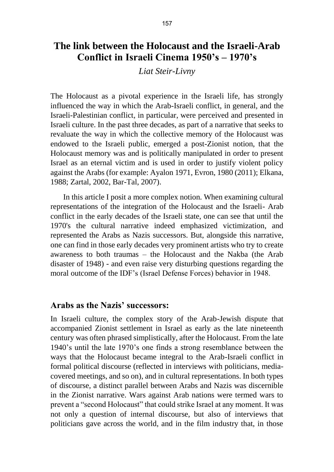# **The link between the Holocaust and the Israeli-Arab Conflict in Israeli Cinema 1950's – 1970's**

#### *Liat Steir-Livny*

The Holocaust as a pivotal experience in the Israeli life, has strongly influenced the way in which the Arab-Israeli conflict, in general, and the Israeli-Palestinian conflict, in particular, were perceived and presented in Israeli culture. In the past three decades, as part of a narrative that seeks to revaluate the way in which the collective memory of the Holocaust was endowed to the Israeli public, emerged a post-Zionist notion, that the Holocaust memory was and is politically manipulated in order to present Israel as an eternal victim and is used in order to justify violent policy against the Arabs (for example: Ayalon 1971, Evron, 1980 (2011); Elkana, 1988; Zartal, 2002, Bar-Tal, 2007).

In this article I posit a more complex notion. When examining cultural representations of the integration of the Holocaust and the Israeli- Arab conflict in the early decades of the Israeli state, one can see that until the 1970's the cultural narrative indeed emphasized victimization, and represented the Arabs as Nazis successors. But, alongside this narrative, one can find in those early decades very prominent artists who try to create awareness to both traumas – the Holocaust and the Nakba (the Arab disaster of 1948) - and even raise very disturbing questions regarding the moral outcome of the IDF's (Israel Defense Forces) behavior in 1948.

## **Arabs as the Nazis' successors:**

In Israeli culture, the complex story of the Arab-Jewish dispute that accompanied Zionist settlement in Israel as early as the late nineteenth century was often phrased simplistically, after the Holocaust. From the late 1940's until the late 1970's one finds a strong resemblance between the ways that the Holocaust became integral to the Arab-Israeli conflict in formal political discourse (reflected in interviews with politicians, mediacovered meetings, and so on), and in cultural representations. In both types of discourse, a distinct parallel between Arabs and Nazis was discernible in the Zionist narrative. Wars against Arab nations were termed wars to prevent a "second Holocaust" that could strike Israel at any moment. It was not only a question of internal discourse, but also of interviews that politicians gave across the world, and in the film industry that, in those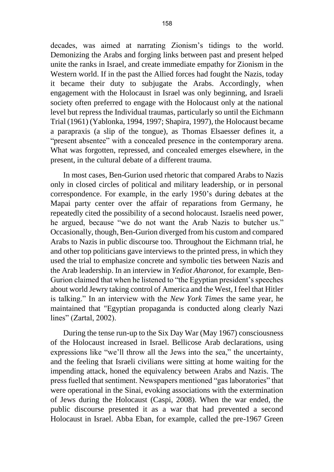decades, was aimed at narrating Zionism's tidings to the world. Demonizing the Arabs and forging links between past and present helped unite the ranks in Israel, and create immediate empathy for Zionism in the Western world. If in the past the Allied forces had fought the Nazis, today it became their duty to subjugate the Arabs. Accordingly, when engagement with the Holocaust in Israel was only beginning, and Israeli society often preferred to engage with the Holocaust only at the national level but repress the Individual traumas, particularly so until the Eichmann Trial (1961) (Yablonka, 1994, 1997; Shapira, 1997), the Holocaust became a parapraxis (a slip of the tongue), as Thomas Elsaesser defines it, a "present absentee" with a concealed presence in the contemporary arena. What was forgotten, repressed, and concealed emerges elsewhere, in the present, in the cultural debate of a different trauma.

In most cases, Ben-Gurion used rhetoric that compared Arabs to Nazis only in closed circles of political and military leadership, or in personal correspondence. For example, in the early 1950's during debates at the Mapai party center over the affair of reparations from Germany, he repeatedly cited the possibility of a second holocaust. Israelis need power, he argued, because "we do not want the Arab Nazis to butcher us." Occasionally, though, Ben-Gurion diverged from his custom and compared Arabs to Nazis in public discourse too. Throughout the Eichmann trial, he and other top politicians gave interviews to the printed press, in which they used the trial to emphasize concrete and symbolic ties between Nazis and the Arab leadership. In an interview in *Yediot Aharonot*, for example, Ben-Gurion claimed that when he listened to "the Egyptian president's speeches about world Jewry taking control of America and the West, I feel that Hitler is talking." In an interview with the *New York Times* the same year, he maintained that "Egyptian propaganda is conducted along clearly Nazi lines" (Zartal, 2002).

During the tense run-up to the Six Day War (May 1967) consciousness of the Holocaust increased in Israel. Bellicose Arab declarations, using expressions like "we'll throw all the Jews into the sea," the uncertainty, and the feeling that Israeli civilians were sitting at home waiting for the impending attack, honed the equivalency between Arabs and Nazis. The press fuelled that sentiment. Newspapers mentioned "gas laboratories" that were operational in the Sinai, evoking associations with the extermination of Jews during the Holocaust (Caspi, 2008). When the war ended, the public discourse presented it as a war that had prevented a second Holocaust in Israel. Abba Eban, for example, called the pre-1967 Green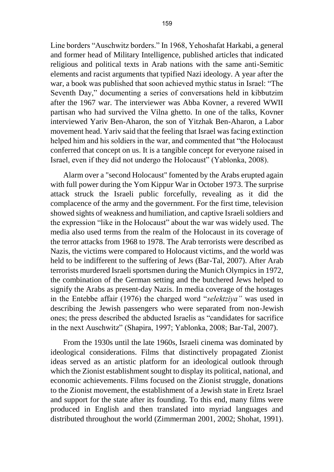Line borders "Auschwitz borders." In 1968, Yehoshafat Harkabi, a general and former head of Military Intelligence, published articles that indicated religious and political texts in Arab nations with the same anti-Semitic elements and racist arguments that typified Nazi ideology. A year after the war, a book was published that soon achieved mythic status in Israel: "The Seventh Day," documenting a series of conversations held in kibbutzim after the 1967 war. The interviewer was Abba Kovner, a revered WWII partisan who had survived the Vilna ghetto. In one of the talks, Kovner interviewed Yariv Ben-Aharon, the son of Yitzhak Ben-Aharon, a Labor movement head. Yariv said that the feeling that Israel was facing extinction helped him and his soldiers in the war, and commented that "the Holocaust conferred that concept on us. It is a tangible concept for everyone raised in Israel, even if they did not undergo the Holocaust" (Yablonka, 2008).

Alarm over a "second Holocaust" fomented by the Arabs erupted again with full power during the Yom Kippur War in October 1973. The surprise attack struck the Israeli public forcefully, revealing as it did the complacence of the army and the government. For the first time, television showed sights of weakness and humiliation, and captive Israeli soldiers and the expression "like in the Holocaust" about the war was widely used. The media also used terms from the realm of the Holocaust in its coverage of the terror attacks from 1968 to 1978. The Arab terrorists were described as Nazis, the victims were compared to Holocaust victims, and the world was held to be indifferent to the suffering of Jews (Bar-Tal, 2007). After Arab terrorists murdered Israeli sportsmen during the Munich Olympics in 1972, the combination of the German setting and the butchered Jews helped to signify the Arabs as present-day Nazis. In media coverage of the hostages in the Entebbe affair (1976) the charged word "*selektziya"* was used in describing the Jewish passengers who were separated from non-Jewish ones; the press described the abducted Israelis as "candidates for sacrifice in the next Auschwitz" (Shapira, 1997; Yablonka, 2008; Bar-Tal, 2007).

From the 1930s until the late 1960s, Israeli cinema was dominated by ideological considerations. Films that distinctively propagated Zionist ideas served as an artistic platform for an ideological outlook through which the Zionist establishment sought to display its political, national, and economic achievements. Films focused on the Zionist struggle, donations to the Zionist movement, the establishment of a Jewish state in Eretz Israel and support for the state after its founding. To this end, many films were produced in English and then translated into myriad languages and distributed throughout the world (Zimmerman 2001, 2002; Shohat, 1991).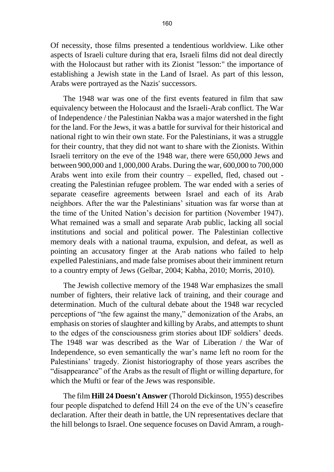Of necessity, those films presented a tendentious worldview. Like other aspects of Israeli culture during that era, Israeli films did not deal directly with the Holocaust but rather with its Zionist "lesson:" the importance of establishing a Jewish state in the Land of Israel. As part of this lesson, Arabs were portrayed as the Nazis' successors.

The 1948 war was one of the first events featured in film that saw equivalency between the Holocaust and the Israeli-Arab conflict. The War of Independence / the Palestinian Nakba was a major watershed in the fight for the land. For the Jews, it was a battle for survival for their historical and national right to win their own state. For the Palestinians, it was a struggle for their country, that they did not want to share with the Zionists. Within Israeli territory on the eve of the 1948 war, there were 650,000 Jews and between 900,000 and 1,000,000 Arabs. During the war, 600,000 to 700,000 Arabs went into exile from their country – expelled, fled, chased out creating the Palestinian refugee problem. The war ended with a series of separate ceasefire agreements between Israel and each of its Arab neighbors. After the war the Palestinians' situation was far worse than at the time of the United Nation's decision for partition (November 1947). What remained was a small and separate Arab public, lacking all social institutions and social and political power. The Palestinian collective memory deals with a national trauma, expulsion, and defeat, as well as pointing an accusatory finger at the Arab nations who failed to help expelled Palestinians, and made false promises about their imminent return to a country empty of Jews (Gelbar, 2004; Kabha, 2010; Morris, 2010).

The Jewish collective memory of the 1948 War emphasizes the small number of fighters, their relative lack of training, and their courage and determination. Much of the cultural debate about the 1948 war recycled perceptions of "the few against the many," demonization of the Arabs, an emphasis on stories of slaughter and killing by Arabs, and attempts to shunt to the edges of the consciousness grim stories about IDF soldiers' deeds. The 1948 war was described as the War of Liberation / the War of Independence, so even semantically the war's name left no room for the Palestinians' tragedy. Zionist historiography of those years ascribes the "disappearance" of the Arabs as the result of flight or willing departure, for which the Mufti or fear of the Jews was responsible.

The film **Hill 24 Doesn't Answer** (Thorold Dickinson, 1955) describes four people dispatched to defend Hill 24 on the eve of the UN's ceasefire declaration. After their death in battle, the UN representatives declare that the hill belongs to Israel. One sequence focuses on David Amram, a rough-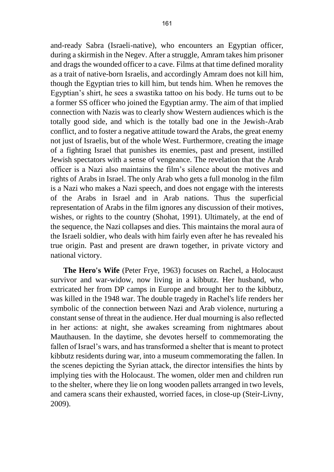and-ready Sabra (Israeli-native), who encounters an Egyptian officer, during a skirmish in the Negev. After a struggle, Amram takes him prisoner and drags the wounded officer to a cave. Films at that time defined morality as a trait of native-born Israelis, and accordingly Amram does not kill him, though the Egyptian tries to kill him, but tends him. When he removes the Egyptian's shirt, he sees a swastika tattoo on his body. He turns out to be a former SS officer who joined the Egyptian army. The aim of that implied connection with Nazis was to clearly show Western audiences which is the totally good side, and which is the totally bad one in the Jewish-Arab conflict, and to foster a negative attitude toward the Arabs, the great enemy not just of Israelis, but of the whole West. Furthermore, creating the image of a fighting Israel that punishes its enemies, past and present, instilled Jewish spectators with a sense of vengeance. The revelation that the Arab officer is a Nazi also maintains the film's silence about the motives and rights of Arabs in Israel. The only Arab who gets a full monolog in the film is a Nazi who makes a Nazi speech, and does not engage with the interests of the Arabs in Israel and in Arab nations. Thus the superficial representation of Arabs in the film ignores any discussion of their motives, wishes, or rights to the country (Shohat, 1991). Ultimately, at the end of the sequence, the Nazi collapses and dies. This maintains the moral aura of the Israeli soldier, who deals with him fairly even after he has revealed his true origin. Past and present are drawn together, in private victory and national victory.

**The Hero's Wife** (Peter Frye, 1963) focuses on Rachel, a Holocaust survivor and war-widow, now living in a kibbutz. Her husband, who extricated her from DP camps in Europe and brought her to the kibbutz, was killed in the 1948 war. The double tragedy in Rachel's life renders her symbolic of the connection between Nazi and Arab violence, nurturing a constant sense of threat in the audience. Her dual mourning is also reflected in her actions: at night, she awakes screaming from nightmares about Mauthausen. In the daytime, she devotes herself to commemorating the fallen of Israel's wars, and has transformed a shelter that is meant to protect kibbutz residents during war, into a museum commemorating the fallen. In the scenes depicting the Syrian attack, the director intensifies the hints by implying ties with the Holocaust. The women, older men and children run to the shelter, where they lie on long wooden pallets arranged in two levels, and camera scans their exhausted, worried faces, in close-up (Steir-Livny, 2009).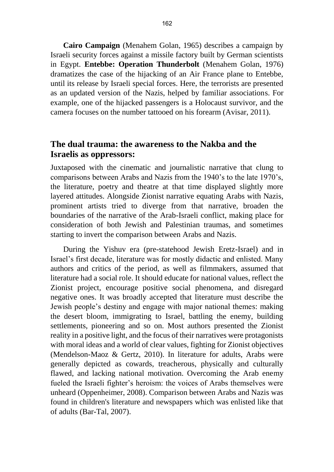**Cairo Campaign** (Menahem Golan, 1965) describes a campaign by Israeli security forces against a missile factory built by German scientists in Egypt. **Entebbe: Operation Thunderbolt** (Menahem Golan, 1976) dramatizes the case of the hijacking of an Air France plane to Entebbe, until its release by Israeli special forces. Here, the terrorists are presented as an updated version of the Nazis, helped by familiar associations. For example, one of the hijacked passengers is a Holocaust survivor, and the camera focuses on the number tattooed on his forearm (Avisar, 2011).

## **The dual trauma: the awareness to the Nakba and the Israelis as oppressors:**

Juxtaposed with the cinematic and journalistic narrative that clung to comparisons between Arabs and Nazis from the 1940's to the late 1970's, the literature, poetry and theatre at that time displayed slightly more layered attitudes. Alongside Zionist narrative equating Arabs with Nazis, prominent artists tried to diverge from that narrative, broaden the boundaries of the narrative of the Arab-Israeli conflict, making place for consideration of both Jewish and Palestinian traumas, and sometimes starting to invert the comparison between Arabs and Nazis.

During the Yishuv era (pre-statehood Jewish Eretz-Israel) and in Israel's first decade, literature was for mostly didactic and enlisted. Many authors and critics of the period, as well as filmmakers, assumed that literature had a social role. It should educate for national values, reflect the Zionist project, encourage positive social phenomena, and disregard negative ones. It was broadly accepted that literature must describe the Jewish people's destiny and engage with major national themes: making the desert bloom, immigrating to Israel, battling the enemy, building settlements, pioneering and so on. Most authors presented the Zionist reality in a positive light, and the focus of their narratives were protagonists with moral ideas and a world of clear values, fighting for Zionist objectives (Mendelson-Maoz & Gertz, 2010). In literature for adults, Arabs were generally depicted as cowards, treacherous, physically and culturally flawed, and lacking national motivation. Overcoming the Arab enemy fueled the Israeli fighter's heroism: the voices of Arabs themselves were unheard (Oppenheimer, 2008). Comparison between Arabs and Nazis was found in children's literature and newspapers which was enlisted like that of adults (Bar-Tal, 2007).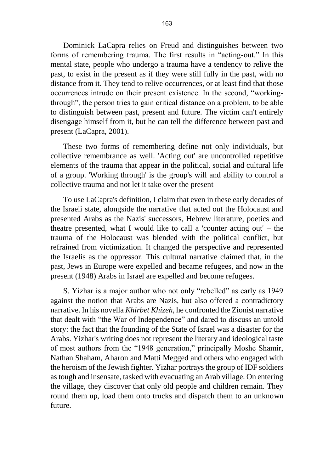Dominick LaCapra relies on Freud and distinguishes between two forms of remembering trauma. The first results in "acting-out." In this mental state, people who undergo a trauma have a tendency to relive the past, to exist in the present as if they were still fully in the past, with no distance from it. They tend to relive occurrences, or at least find that those occurrences intrude on their present existence. In the second, "workingthrough", the person tries to gain critical distance on a problem, to be able to distinguish between past, present and future. The victim can't entirely disengage himself from it, but he can tell the difference between past and present (LaCapra, 2001).

These two forms of remembering define not only individuals, but collective remembrance as well. 'Acting out' are uncontrolled repetitive elements of the trauma that appear in the political, social and cultural life of a group. 'Working through' is the group's will and ability to control a collective trauma and not let it take over the present

To use LaCapra's definition, I claim that even in these early decades of the Israeli state, alongside the narrative that acted out the Holocaust and presented Arabs as the Nazis' successors, Hebrew literature, poetics and theatre presented, what I would like to call a 'counter acting out' – the trauma of the Holocaust was blended with the political conflict, but refrained from victimization. It changed the perspective and represented the Israelis as the oppressor. This cultural narrative claimed that, in the past, Jews in Europe were expelled and became refugees, and now in the present (1948) Arabs in Israel are expelled and become refugees.

S. Yizhar is a major author who not only "rebelled" as early as 1949 against the notion that Arabs are Nazis, but also offered a contradictory narrative. In his novella *Khirbet Khizeh*, he confronted the Zionist narrative that dealt with "the War of Independence" and dared to discuss an untold story: the fact that the founding of the State of Israel was a disaster for the Arabs. Yizhar's writing does not represent the literary and ideological taste of most authors from the "1948 generation," principally Moshe Shamir, Nathan Shaham, Aharon and Matti Megged and others who engaged with the heroism of the Jewish fighter. Yizhar portrays the group of IDF soldiers as tough and insensate, tasked with evacuating an Arab village. On entering the village, they discover that only old people and children remain. They round them up, load them onto trucks and dispatch them to an unknown future.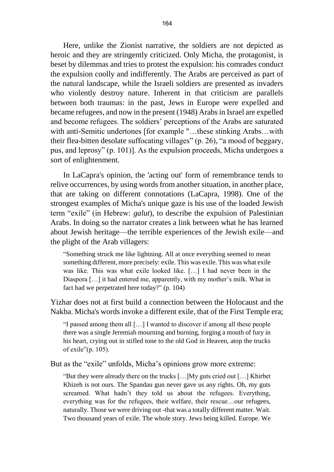Here, unlike the Zionist narrative, the soldiers are not depicted as heroic and they are stringently criticized. Only Micha, the protagonist, is beset by dilemmas and tries to protest the expulsion: his comrades conduct the expulsion coolly and indifferently. The Arabs are perceived as part of the natural landscape, while the Israeli soldiers are presented as invaders who violently destroy nature. Inherent in that criticism are parallels between both traumas: in the past, Jews in Europe were expelled and became refugees, and now in the present (1948) Arabs in Israel are expelled and become refugees. The soldiers' perceptions of the Arabs are saturated with anti-Semitic undertones [for example "…these stinking Arabs…with their flea-bitten desolate suffocating villages" (p. 26), "a mood of beggary, pus, and leprosy" (p. 101)]. As the expulsion proceeds, Micha undergoes a sort of enlightenment.

In LaCapra's opinion, the 'acting out' form of remembrance tends to relive occurrences, by using words from another situation, in another place, that are taking on different connotations (LaCapra, 1998). One of the strongest examples of Micha's unique gaze is his use of the loaded Jewish term "exile" (in Hebrew: *galut*), to describe the expulsion of Palestinian Arabs. In doing so the narrator creates a link between what he has learned about Jewish heritage—the terrible experiences of the Jewish exile—and the plight of the Arab villagers:

"Something struck me like lightning. All at once everything seemed to mean something different, more precisely: exile. This was exile. This was what exile was like. This was what exile looked like. […] I had never been in the Diaspora […] it had entered me, apparently, with my mother's milk. What in fact had we perpetrated here today?" (p. 104)

Yizhar does not at first build a connection between the Holocaust and the Nakba. Micha's words invoke a different exile, that of the First Temple era;

"I passed among them all […] I wanted to discover if among all these people there was a single Jeremiah mourning and burning, forging a mouth of fury in his heart, crying out in stifled tone to the old God in Heaven, atop the trucks of exile"(p. 105).

But as the "exile" unfolds, Micha's opinions grow more extreme:

"But they were already there on the trucks […]My guts cried out […] Khirbet Khizeh is not ours. The Spandau gun never gave us any rights. Oh, my guts screamed. What hadn't they told us about the refugees. Everything, everything was for the refugees, their welfare, their rescue…our refugees, naturally. Those we were driving out -that was a totally different matter. Wait. Two thousand years of exile. The whole story. Jews being killed. Europe. We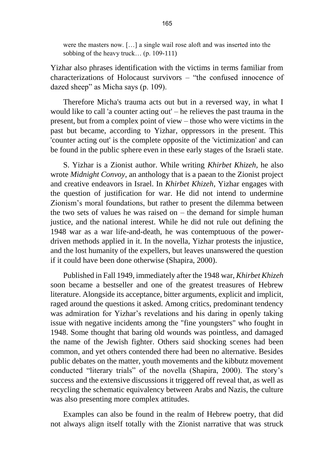were the masters now. […] a single wail rose aloft and was inserted into the sobbing of the heavy truck… (p. 109-111)

Yizhar also phrases identification with the victims in terms familiar from characterizations of Holocaust survivors – "the confused innocence of dazed sheep" as Micha says (p. 109).

Therefore Micha's trauma acts out but in a reversed way, in what I would like to call 'a counter acting out' – he relieves the past trauma in the present, but from a complex point of view – those who were victims in the past but became, according to Yizhar, oppressors in the present. This 'counter acting out' is the complete opposite of the 'victimization' and can be found in the public sphere even in these early stages of the Israeli state.

S. Yizhar is a Zionist author. While writing *Khirbet Khizeh*, he also wrote *Midnight Convoy*, an anthology that is a paean to the Zionist project and creative endeavors in Israel. In *Khirbet Khizeh*, Yizhar engages with the question of justification for war. He did not intend to undermine Zionism's moral foundations, but rather to present the dilemma between the two sets of values he was raised on  $-$  the demand for simple human justice, and the national interest. While he did not rule out defining the 1948 war as a war life-and-death, he was contemptuous of the powerdriven methods applied in it. In the novella, Yizhar protests the injustice, and the lost humanity of the expellers, but leaves unanswered the question if it could have been done otherwise (Shapira, 2000).

Published in Fall 1949, immediately after the 1948 war, *Khirbet Khizeh* soon became a bestseller and one of the greatest treasures of Hebrew literature. Alongside its acceptance, bitter arguments, explicit and implicit, raged around the questions it asked. Among critics, predominant tendency was admiration for Yizhar's revelations and his daring in openly taking issue with negative incidents among the "fine youngsters" who fought in 1948. Some thought that baring old wounds was pointless, and damaged the name of the Jewish fighter. Others said shocking scenes had been common, and yet others contended there had been no alternative. Besides public debates on the matter, youth movements and the kibbutz movement conducted "literary trials" of the novella (Shapira, 2000). The story's success and the extensive discussions it triggered off reveal that, as well as recycling the schematic equivalency between Arabs and Nazis, the culture was also presenting more complex attitudes.

Examples can also be found in the realm of Hebrew poetry, that did not always align itself totally with the Zionist narrative that was struck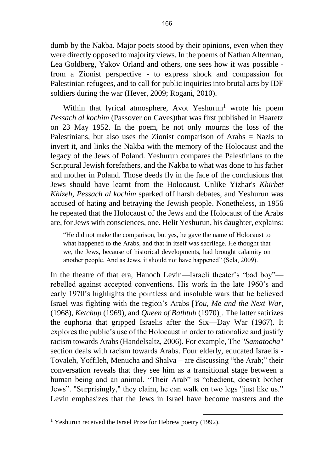dumb by the Nakba. Major poets stood by their opinions, even when they were directly opposed to majority views. In the poems of Nathan Alterman, Lea Goldberg, Yakov Orland and others, one sees how it was possible from a Zionist perspective - to express shock and compassion for Palestinian refugees, and to call for public inquiries into brutal acts by IDF soldiers during the war (Hever, 2009; Rogani, 2010).

Within that lyrical atmosphere, Avot Yeshurun<sup>1</sup> wrote his poem *Pessach al kochim* (Passover on Caves)that was first published in Haaretz on 23 May 1952. In the poem, he not only mourns the loss of the Palestinians, but also uses the Zionist comparison of Arabs = Nazis to invert it, and links the Nakba with the memory of the Holocaust and the legacy of the Jews of Poland. Yeshurun compares the Palestinians to the Scriptural Jewish forefathers, and the Nakba to what was done to his father and mother in Poland. Those deeds fly in the face of the conclusions that Jews should have learnt from the Holocaust. Unlike Yizhar's *Khirbet Khizeh*, *Pessach al kochim* sparked off harsh debates, and Yeshurun was accused of hating and betraying the Jewish people. Nonetheless, in 1956 he repeated that the Holocaust of the Jews and the Holocaust of the Arabs are, for Jews with consciences, one. Helit Yeshurun, his daughter, explains:

"He did not make the comparison, but yes, he gave the name of Holocaust to what happened to the Arabs, and that in itself was sacrilege. He thought that we, the Jews, because of historical developments, had brought calamity on another people. And as Jews, it should not have happened" (Sela, 2009).

In the theatre of that era, Hanoch Levin—Israeli theater's "bad boy" rebelled against accepted conventions. His work in the late 1960's and early 1970's highlights the pointless and insoluble wars that he believed Israel was fighting with the region's Arabs [*You, Me and the Next War*, (1968), *Ketchup* (1969), and *Queen of Bathtub* (1970)]. The latter satirizes the euphoria that gripped Israelis after the Six—Day War (1967). It explores the public's use of the Holocaust in order to rationalize and justify racism towards Arabs (Handelsaltz, 2006). For example, The "*Samatocha*" section deals with racism towards Arabs. Four elderly, educated Israelis - Tovaleh, Yoffileh, Menucha and Shalva – are discussing "the Arab;" their conversation reveals that they see him as a transitional stage between a human being and an animal. "Their Arab" is "obedient, doesn't bother Jews". "Surprisingly," they claim, he can walk on two legs "just like us." Levin emphasizes that the Jews in Israel have become masters and the

1

<sup>&</sup>lt;sup>1</sup> Yeshurun received the Israel Prize for Hebrew poetry (1992).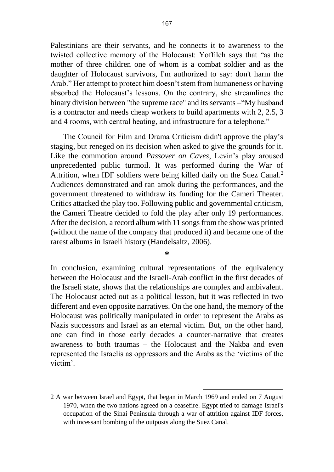Palestinians are their servants, and he connects it to awareness to the twisted collective memory of the Holocaust: Yoffileh says that "as the mother of three children one of whom is a combat soldier and as the daughter of Holocaust survivors, I'm authorized to say: don't harm the Arab." Her attempt to protect him doesn't stem from humaneness or having absorbed the Holocaust's lessons. On the contrary, she streamlines the binary division between "the supreme race" and its servants –"My husband is a contractor and needs cheap workers to build apartments with 2, 2.5, 3 and 4 rooms, with central heating, and infrastructure for a telephone."

The Council for Film and Drama Criticism didn't approve the play's staging, but reneged on its decision when asked to give the grounds for it. Like the commotion around *Passover on Caves*, Levin's play aroused unprecedented public turmoil. It was performed during the War of Attrition, when IDF soldiers were being killed daily on the Suez Canal.<sup>2</sup> Audiences demonstrated and ran amok during the performances, and the government threatened to withdraw its funding for the Cameri Theater. Critics attacked the play too. Following public and governmental criticism, the Cameri Theatre decided to fold the play after only 19 performances. After the decision, a record album with 11 songs from the show was printed (without the name of the company that produced it) and became one of the rarest albums in Israeli history (Handelsaltz, 2006).

**\***

In conclusion, examining cultural representations of the equivalency between the Holocaust and the Israeli-Arab conflict in the first decades of the Israeli state, shows that the relationships are complex and ambivalent. The Holocaust acted out as a political lesson, but it was reflected in two different and even opposite narratives. On the one hand, the memory of the Holocaust was politically manipulated in order to represent the Arabs as Nazis successors and Israel as an eternal victim. But, on the other hand, one can find in those early decades a counter-narrative that creates awareness to both traumas – the Holocaust and the Nakba and even represented the Israelis as oppressors and the Arabs as the 'victims of the victim'.

1

<sup>2</sup> A war between Israel and Egypt, that began in March 1969 and ended on 7 August 1970, when the two nations agreed on a ceasefire. Egypt tried to damage Israel's occupation of the Sinai Peninsula through a war of attrition against IDF forces, with incessant bombing of the outposts along the Suez Canal.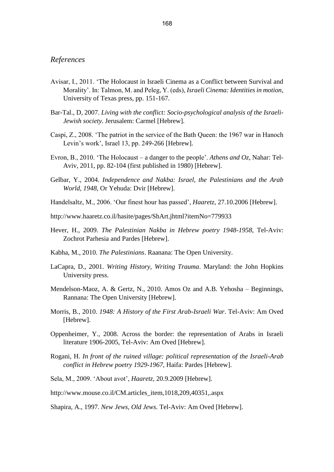#### *References*

- Avisar, I., 2011. 'The Holocaust in Israeli Cinema as a Conflict between Survival and Morality'. In: Talmon, M. and Peleg, Y. (eds), *Israeli Cinema: Identities in motion*, University of Texas press, pp. 151-167.
- Bar-Tal., D, 2007. *Living with the conflict: Socio-psychological analysis of the Israeli-Jewish society*. Jerusalem: Carmel [Hebrew].
- Caspi, Z., 2008. 'The patriot in the service of the Bath Queen: the 1967 war in Hanoch Levin's work', Israel 13, pp. 249-266 [Hebrew].
- Evron, B., 2010. 'The Holocaust a danger to the people'. *Athens and Oz*, Nahar: Tel-Aviv, 2011, pp. 82-104 (first published in 1980) [Hebrew].
- Gelbar, Y., 2004. *Independence and Nakba: Israel, the Palestinians and the Arab World, 1948*, Or Yehuda: Dvir [Hebrew].
- Handelsaltz, M., 2006. 'Our finest hour has passed', *Haaretz*, 27.10.2006 [Hebrew].
- http://www.haaretz.co.il/hasite/pages/ShArt.jhtml?itemNo=779933
- Hever, H., 2009. *The Palestinian Nakba in Hebrew poetry 1948-1958*, Tel-Aviv: Zochrot Parhesia and Pardes [Hebrew].
- Kabha, M., 2010. *The Palestinians*. Raanana: The Open University.
- LaCapra, D., 2001. *Writing History, Writing Trauma*. Maryland: the John Hopkins University press.
- Mendelson-Maoz, A. & Gertz, N., 2010. Amos Oz and A.B. Yehosha Beginnings, Rannana: The Open University [Hebrew].
- Morris, B., 2010. *1948: A History of the First Arab-Israeli War*. Tel-Aviv: Am Oved [Hebrew].
- Oppenheimer, Y., 2008. Across the border: the representation of Arabs in Israeli literature 1906-2005, Tel-Aviv: Am Oved [Hebrew].
- Rogani, H. *In front of the ruined village: political representation of the Israeli-Arab conflict in Hebrew poetry 1929-1967*, Haifa: Pardes [Hebrew].
- Sela, M., 2009. 'About avot', *Haaretz*, 20.9.2009 [Hebrew].
- http://www.mouse.co.il/CM.articles\_item,1018,209,40351,.aspx

Shapira, A., 1997. *New Jews, Old Jews*. Tel-Aviv: Am Oved [Hebrew].